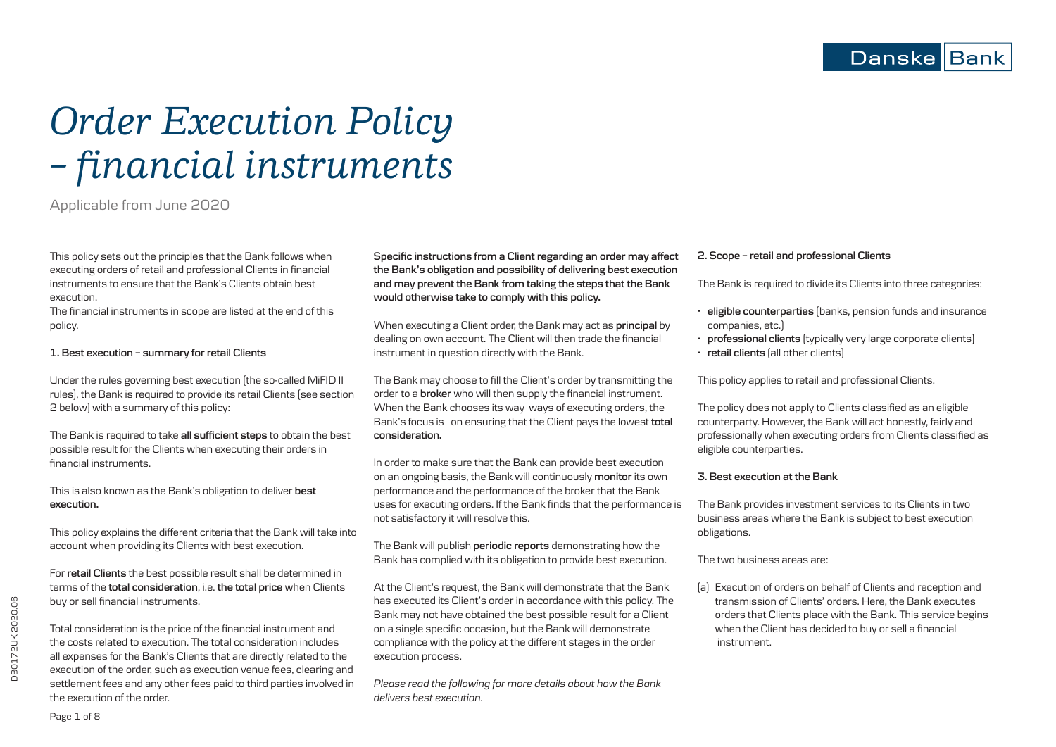# *Order Execution Policy – financial instruments*

# Applicable from June 2020

This policy sets out the principles that the Bank follows when executing orders of retail and professional Clients in financial instruments to ensure that the Bank's Clients obtain best execution.

The financial instruments in scope are listed at the end of this policy.

# **1. Best execution – summary for retail Clients**

Under the rules governing best execution (the so-called MiFID II rules), the Bank is required to provide its retail Clients (see section 2 below) with a summary of this policy:

The Bank is required to take **all sufficient steps** to obtain the best possible result for the Clients when executing their orders in financial instruments.

This is also known as the Bank's obligation to deliver **best execution.**

This policy explains the different criteria that the Bank will take into account when providing its Clients with best execution.

For **retail Clients** the best possible result shall be determined in terms of the **total consideration**, i.e. **the total price** when Clients buy or sell financial instruments.

Total consideration is the price of the financial instrument and the costs related to execution. The total consideration includes all expenses for the Bank's Clients that are directly related to the execution of the order, such as execution venue fees, clearing and settlement fees and any other fees paid to third parties involved in the execution of the order.

**Specific instructions from a Client regarding an order may affect the Bank's obligation and possibility of delivering best execution and may prevent the Bank from taking the steps that the Bank would otherwise take to comply with this policy.**

When executing a Client order, the Bank may act as **principal** by dealing on own account. The Client will then trade the financial instrument in question directly with the Bank.

The Bank may choose to fill the Client's order by transmitting the order to a **broker** who will then supply the financial instrument. When the Bank chooses its way ways of executing orders, the Bank's focus is on ensuring that the Client pays the lowest **total consideration.**

In order to make sure that the Bank can provide best execution on an ongoing basis, the Bank will continuously **monitor**its own performance and the performance of the broker that the Bank uses for executing orders. If the Bank finds that the performance is not satisfactory it will resolve this.

The Bank will publish **periodic reports** demonstrating how the Bank has complied with its obligation to provide best execution.

At the Client's request, the Bank will demonstrate that the Bank has executed its Client's order in accordance with this policy. The Bank may not have obtained the best possible result for a Client on a single specific occasion, but the Bank will demonstrate compliance with the policy at the different stages in the order execution process.

*Please read the following for more details about how the Bank delivers best execution.*

#### **2. Scope – retail and professional Clients**

The Bank is required to divide its Clients into three categories:

- **eligible counterparties** (banks, pension funds and insurance companies, etc.)
- **professional clients** (typically very large corporate clients)
- **retail clients** (all other clients)

This policy applies to retail and professional Clients.

The policy does not apply to Clients classified as an eligible counterparty. However, the Bank will act honestly, fairly and professionally when executing orders from Clients classified as eligible counterparties.

#### **3. Best execution at the Bank**

The Bank provides investment services to its Clients in two business areas where the Bank is subject to best execution obligations.

## The two business areas are:

(a) Execution of orders on behalf of Clients and reception and transmission of Clients' orders. Here, the Bank executes orders that Clients place with the Bank. This service begins when the Client has decided to buy or sell a financial instrument.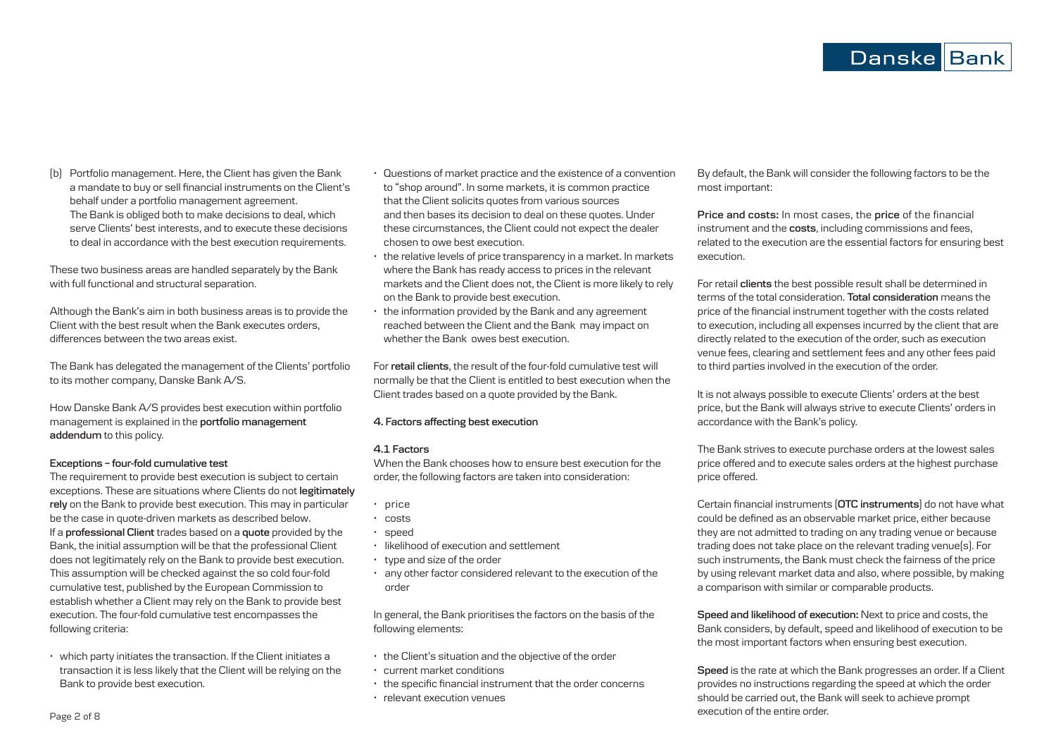(b) Portfolio management. Here, the Client has given the Bank a mandate to buy or sell financial instruments on the Client's behalf under a portfolio management agreement. The Bank is obliged both to make decisions to deal, which serve Clients' best interests, and to execute these decisions to deal in accordance with the best execution requirements.

These two business areas are handled separately by the Bank with full functional and structural separation.

Although the Bank's aim in both business areas is to provide the Client with the best result when the Bank executes orders, differences between the two areas exist.

The Bank has delegated the management of the Clients' portfolio to its mother company, Danske Bank A/S.

How Danske Bank A/S provides best execution within portfolio management is explained in the **portfolio management addendum** to this policy.

#### **Exceptions – four-fold cumulative test**

The requirement to provide best execution is subject to certain exceptions. These are situations where Clients do not **legitimately rely** on the Bank to provide best execution. This may in particular be the case in quote-driven markets as described below. If a **professional Client** trades based on a **quote** provided by the Bank, the initial assumption will be that the professional Client does not legitimately rely on the Bank to provide best execution. This assumption will be checked against the so cold four-fold cumulative test, published by the European Commission to establish whether a Client may rely on the Bank to provide best execution. The four-fold cumulative test encompasses the following criteria:

• which party initiates the transaction. If the Client initiates a transaction it is less likely that the Client will be relying on the Bank to provide best execution.

- Questions of market practice and the existence of a convention to "shop around". In some markets, it is common practice that the Client solicits quotes from various sources and then bases its decision to deal on these quotes. Under these circumstances, the Client could not expect the dealer chosen to owe best execution.
- the relative levels of price transparency in a market. In markets where the Bank has ready access to prices in the relevant markets and the Client does not, the Client is more likely to rely on the Bank to provide best execution.
- the information provided by the Bank and any agreement reached between the Client and the Bank may impact on whether the Bank owes best execution.

For **retail clients**, the result of the four-fold cumulative test will normally be that the Client is entitled to best execution when the Client trades based on a quote provided by the Bank.

# **4. Factors affecting best execution**

#### **4.1 Factors**

When the Bank chooses how to ensure best execution for the order, the following factors are taken into consideration:

- price
- costs
- speed
- likelihood of execution and settlement
- type and size of the order
- any other factor considered relevant to the execution of the order

In general, the Bank prioritises the factors on the basis of the following elements:

- the Client's situation and the objective of the order
- current market conditions
- the specific financial instrument that the order concerns
- relevant execution venues

By default, the Bank will consider the following factors to be the most important:

**Price and costs:** In most cases, the **price** of the financial instrument and the **costs**, including commissions and fees, related to the execution are the essential factors for ensuring best execution.

For retail **clients** the best possible result shall be determined in terms of the total consideration. **Total consideration** means the price of the financial instrument together with the costs related to execution, including all expenses incurred by the client that are directly related to the execution of the order, such as execution venue fees, clearing and settlement fees and any other fees paid to third parties involved in the execution of the order.

It is not always possible to execute Clients' orders at the best price, but the Bank will always strive to execute Clients' orders in accordance with the Bank's policy.

The Bank strives to execute purchase orders at the lowest sales price offered and to execute sales orders at the highest purchase price offered.

Certain financial instruments (**OTC instruments**) do not have what could be defined as an observable market price, either because they are not admitted to trading on any trading venue or because trading does not take place on the relevant trading venue(s). For such instruments, the Bank must check the fairness of the price by using relevant market data and also, where possible, by making a comparison with similar or comparable products.

**Speed and likelihood of execution:** Next to price and costs, the Bank considers, by default, speed and likelihood of execution to be the most important factors when ensuring best execution.

**Speed** is the rate at which the Bank progresses an order. If a Client provides no instructions regarding the speed at which the order should be carried out, the Bank will seek to achieve prompt execution of the entire order.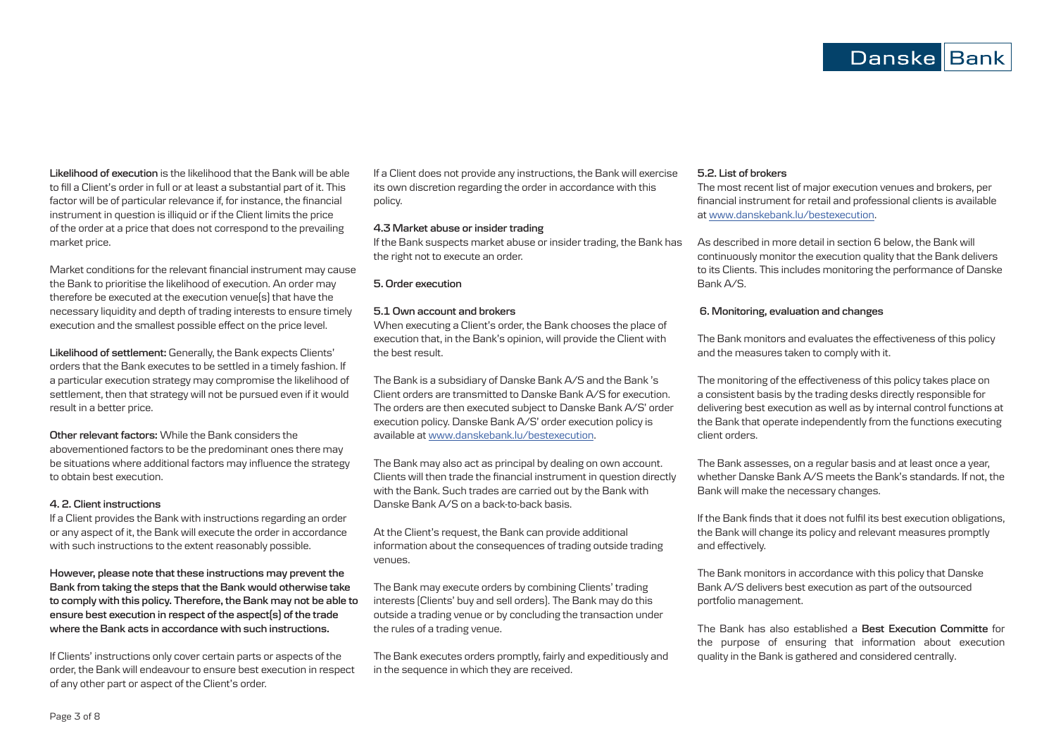**Likelihood of execution** is the likelihood that the Bank will be able to fill a Client's order in full or at least a substantial part of it. This factor will be of particular relevance if, for instance, the financial instrument in question is illiquid or if the Client limits the price of the order at a price that does not correspond to the prevailing market price.

Market conditions for the relevant financial instrument may cause the Bank to prioritise the likelihood of execution. An order may therefore be executed at the execution venue(s) that have the necessary liquidity and depth of trading interests to ensure timely execution and the smallest possible effect on the price level.

**Likelihood of settlement:** Generally, the Bank expects Clients' orders that the Bank executes to be settled in a timely fashion. If a particular execution strategy may compromise the likelihood of settlement, then that strategy will not be pursued even if it would result in a better price.

**Other relevant factors:** While the Bank considers the abovementioned factors to be the predominant ones there may be situations where additional factors may influence the strategy to obtain best execution.

#### **4. 2. Client instructions**

If a Client provides the Bank with instructions regarding an order or any aspect of it, the Bank will execute the order in accordance with such instructions to the extent reasonably possible.

**However, please note that these instructions may prevent the Bank from taking the steps that the Bank would otherwise take to comply with this policy. Therefore, the Bank may not be able to ensure best execution in respect of the aspect(s) of the trade where the Bank acts in accordance with such instructions.**

If Clients' instructions only cover certain parts or aspects of the order, the Bank will endeavour to ensure best execution in respect of any other part or aspect of the Client's order.

If a Client does not provide any instructions, the Bank will exercise its own discretion regarding the order in accordance with this policy.

#### **4.3 Market abuse or insider trading**

If the Bank suspects market abuse or insider trading, the Bank has the right not to execute an order.

#### **5. Order execution**

## **5.1 Own account and brokers**

When executing a Client's order, the Bank chooses the place of execution that, in the Bank's opinion, will provide the Client with the best result.

The Bank is a subsidiary of Danske Bank A/S and the Bank 's Client orders are transmitted to Danske Bank A/S for execution. The orders are then executed subject to Danske Bank A/S' order execution policy. Danske Bank A/S' order execution policy is available at www.danskebank.lu/bestexecution.

The Bank may also act as principal by dealing on own account. Clients will then trade the financial instrument in question directly with the Bank. Such trades are carried out by the Bank with Danske Bank A/S on a back-to-back basis.

At the Client's request, the Bank can provide additional information about the consequences of trading outside trading venues.

The Bank may execute orders by combining Clients' trading interests (Clients' buy and sell orders). The Bank may do this outside a trading venue or by concluding the transaction under the rules of a trading venue.

The Bank executes orders promptly, fairly and expeditiously and in the sequence in which they are received.

# **5.2. List of brokers**

The most recent list of major execution venues and brokers, per financial instrument for retail and professional clients is available at www.danskebank.lu/bestexecution.

As described in more detail in section 6 below, the Bank will continuously monitor the execution quality that the Bank delivers to its Clients. This includes monitoring the performance of Danske Bank A/S.

#### **6. Monitoring, evaluation and changes**

The Bank monitors and evaluates the effectiveness of this policy and the measures taken to comply with it.

The monitoring of the effectiveness of this policy takes place on a consistent basis by the trading desks directly responsible for delivering best execution as well as by internal control functions at the Bank that operate independently from the functions executing client orders.

The Bank assesses, on a regular basis and at least once a year, whether Danske Bank A/S meets the Bank's standards. If not, the Bank will make the necessary changes.

If the Bank finds that it does not fulfil its best execution obligations, the Bank will change its policy and relevant measures promptly and effectively.

The Bank monitors in accordance with this policy that Danske Bank A/S delivers best execution as part of the outsourced portfolio management.

The Bank has also established a **Best Execution Committe** for the purpose of ensuring that information about execution quality in the Bank is gathered and considered centrally.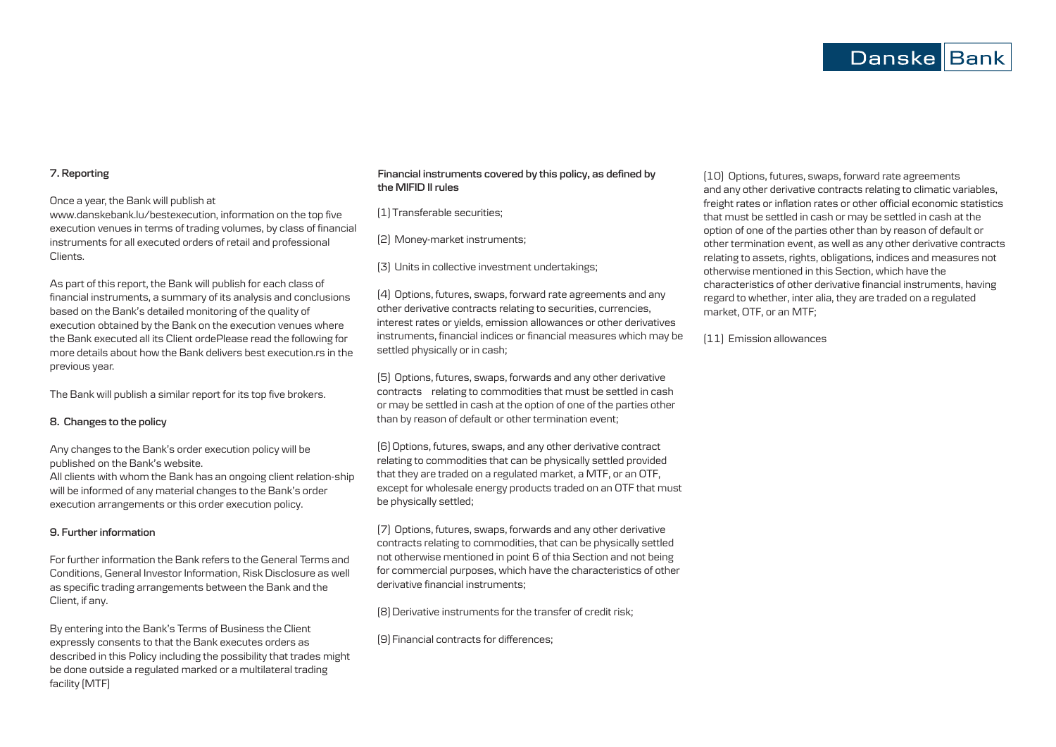### **7. Reporting**

Once a year, the Bank will publish at

www.danskebank.lu/bestexecution, information on the top five execution venues in terms of trading volumes, by class of financial instruments for all executed orders of retail and professional Clients.

As part of this report, the Bank will publish for each class of financial instruments, a summary of its analysis and conclusions based on the Bank's detailed monitoring of the quality of execution obtained by the Bank on the execution venues where the Bank executed all its Client ordePlease read the following for more details about how the Bank delivers best execution.rs in the previous year.

The Bank will publish a similar report for its top five brokers.

#### **8. Changes to the policy**

Any changes to the Bank's order execution policy will be published on the Bank's website.

All clients with whom the Bank has an ongoing client relation-ship will be informed of any material changes to the Bank's order execution arrangements or this order execution policy.

#### **9. Further information**

For further information the Bank refers to the General Terms and Conditions, General Investor Information, Risk Disclosure as well as specific trading arrangements between the Bank and the Client, if any.

By entering into the Bank's Terms of Business the Client expressly consents to that the Bank executes orders as described in this Policy including the possibility that trades might be done outside a regulated marked or a multilateral trading facility (MTF)

# **Financial instruments covered by this policy, as defined by the MIFID II rules**

(1)Transferable securities;

(2) Money-market instruments;

(3) Units in collective investment undertakings;

(4) Options, futures, swaps, forward rate agreements and any other derivative contracts relating to securities, currencies, interest rates or yields, emission allowances or other derivatives instruments, financial indices or financial measures which may be settled physically or in cash;

(5) Options, futures, swaps, forwards and any other derivative contracts relating to commodities that must be settled in cash or may be settled in cash at the option of one of the parties other than by reason of default or other termination event;

[6] Options, futures, swaps, and any other derivative contract relating to commodities that can be physically settled provided that they are traded on a regulated market, a MTF, or an OTF, except for wholesale energy products traded on an OTF that must be physically settled;

(7) Options, futures, swaps, forwards and any other derivative contracts relating to commodities, that can be physically settled not otherwise mentioned in point 6 of thia Section and not being for commercial purposes, which have the characteristics of other derivative financial instruments;

(8) Derivative instruments for the transfer of credit risk;

(9) Financial contracts for differences;

(10) Options, futures, swaps, forward rate agreements and any other derivative contracts relating to climatic variables, freight rates or inflation rates or other official economic statistics that must be settled in cash or may be settled in cash at the option of one of the parties other than by reason of default or other termination event, as well as any other derivative contracts relating to assets, rights, obligations, indices and measures not otherwise mentioned in this Section, which have the characteristics of other derivative financial instruments, having regard to whether, inter alia, they are traded on a regulated market, OTF, or an MTF;

(11) Emission allowances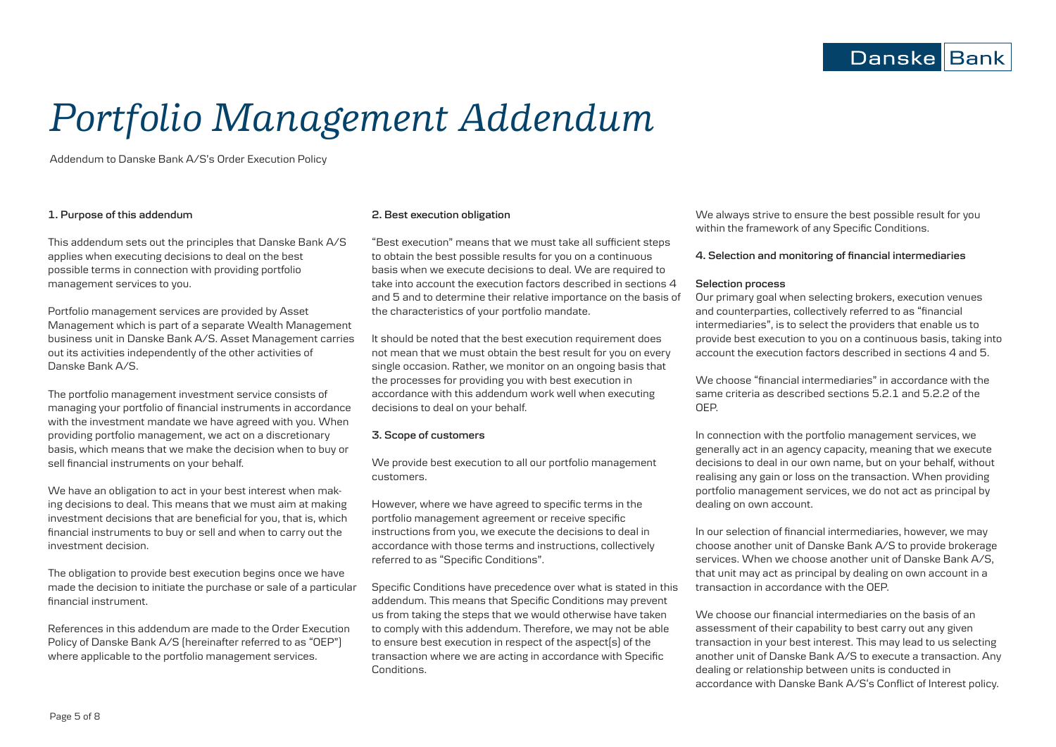# *Portfolio Management Addendum*

Addendum to Danske Bank A/S's Order Execution Policy

# **1. Purpose of this addendum**

This addendum sets out the principles that Danske Bank A/S applies when executing decisions to deal on the best possible terms in connection with providing portfolio management services to you.

Portfolio management services are provided by Asset Management which is part of a separate Wealth Management business unit in Danske Bank A/S. Asset Management carries out its activities independently of the other activities of Danske Bank A/S.

The portfolio management investment service consists of managing your portfolio of financial instruments in accordance with the investment mandate we have agreed with you. When providing portfolio management, we act on a discretionary basis, which means that we make the decision when to buy or sell financial instruments on your behalf.

We have an obligation to act in your best interest when making decisions to deal. This means that we must aim at making investment decisions that are beneficial for you, that is, which financial instruments to buy or sell and when to carry out the investment decision.

The obligation to provide best execution begins once we have made the decision to initiate the purchase or sale of a particular financial instrument.

References in this addendum are made to the Order Execution Policy of Danske Bank A/S (hereinafter referred to as "OEP") where applicable to the portfolio management services.

#### **2. Best execution obligation**

"Best execution" means that we must take all sufficient steps to obtain the best possible results for you on a continuous basis when we execute decisions to deal. We are required to take into account the execution factors described in sections 4 and 5 and to determine their relative importance on the basis of the characteristics of your portfolio mandate.

It should be noted that the best execution requirement does not mean that we must obtain the best result for you on every single occasion. Rather, we monitor on an ongoing basis that the processes for providing you with best execution in accordance with this addendum work well when executing decisions to deal on your behalf.

#### **3. Scope of customers**

We provide best execution to all our portfolio management customers.

However, where we have agreed to specific terms in the portfolio management agreement or receive specific instructions from you, we execute the decisions to deal in accordance with those terms and instructions, collectively referred to as "Specific Conditions".

Specific Conditions have precedence over what is stated in this addendum. This means that Specific Conditions may prevent us from taking the steps that we would otherwise have taken to comply with this addendum. Therefore, we may not be able to ensure best execution in respect of the aspect(s) of the transaction where we are acting in accordance with Specific Conditions.

We always strive to ensure the best possible result for you within the framework of any Specific Conditions.

#### **4. Selection and monitoring of financial intermediaries**

#### **Selection process**

Our primary goal when selecting brokers, execution venues and counterparties, collectively referred to as "financial intermediaries", is to select the providers that enable us to provide best execution to you on a continuous basis, taking into account the execution factors described in sections 4 and 5.

We choose "financial intermediaries" in accordance with the same criteria as described sections 5.2.1 and 5.2.2 of the OEP.

In connection with the portfolio management services, we generally act in an agency capacity, meaning that we execute decisions to deal in our own name, but on your behalf, without realising any gain or loss on the transaction. When providing portfolio management services, we do not act as principal by dealing on own account.

In our selection of financial intermediaries, however, we may choose another unit of Danske Bank A/S to provide brokerage services. When we choose another unit of Danske Bank A/S, that unit may act as principal by dealing on own account in a transaction in accordance with the OEP.

We choose our financial intermediaries on the basis of an assessment of their capability to best carry out any given transaction in your best interest. This may lead to us selecting another unit of Danske Bank A/S to execute a transaction. Any dealing or relationship between units is conducted in accordance with Danske Bank A/S's Conflict of Interest policy.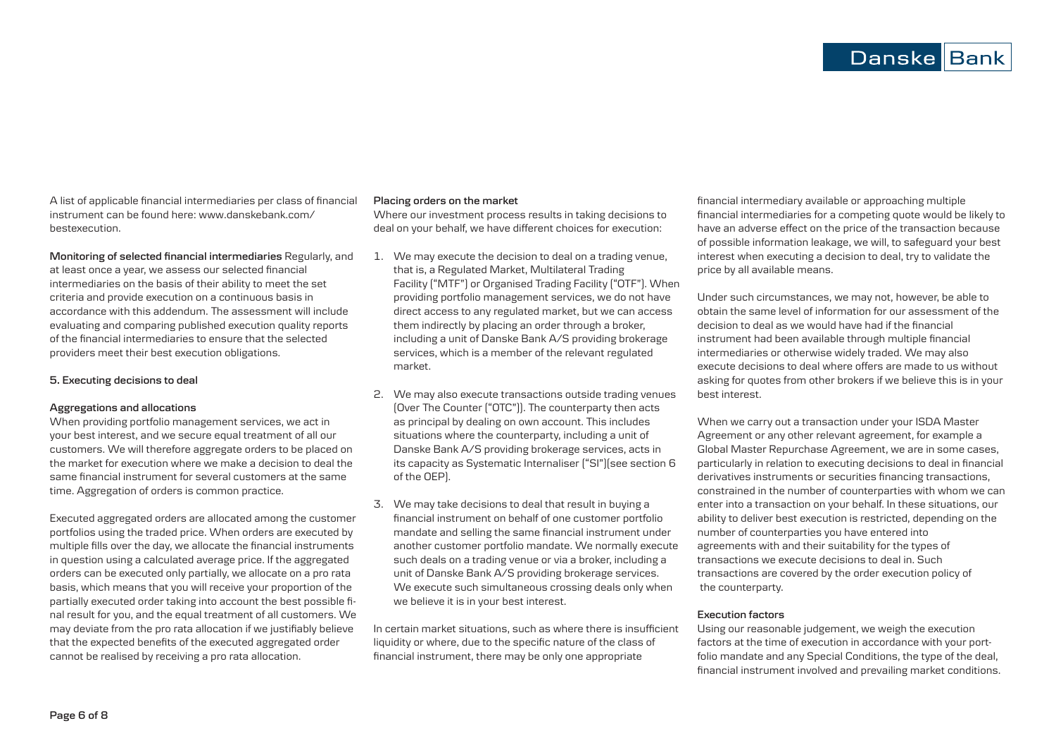A list of applicable financial intermediaries per class of financial instrument can be found here: www.danskebank.com/ bestexecution.

**Monitoring of selected financial intermediaries** Regularly, and

at least once a year, we assess our selected financial intermediaries on the basis of their ability to meet the set criteria and provide execution on a continuous basis in accordance with this addendum. The assessment will include evaluating and comparing published execution quality reports of the financial intermediaries to ensure that the selected providers meet their best execution obligations.

#### **5. Executing decisions to deal**

#### **Aggregations and allocations**

When providing portfolio management services, we act in your best interest, and we secure equal treatment of all our customers. We will therefore aggregate orders to be placed on the market for execution where we make a decision to deal the same financial instrument for several customers at the same time. Aggregation of orders is common practice.

Executed aggregated orders are allocated among the customer portfolios using the traded price. When orders are executed by multiple fills over the day, we allocate the financial instruments in question using a calculated average price. If the aggregated orders can be executed only partially, we allocate on a pro rata basis, which means that you will receive your proportion of the partially executed order taking into account the best possible final result for you, and the equal treatment of all customers. We may deviate from the pro rata allocation if we justifiably believe that the expected benefits of the executed aggregated order cannot be realised by receiving a pro rata allocation.

#### **Placing orders on the market**

Where our investment process results in taking decisions to deal on your behalf, we have different choices for execution:

- 1. We may execute the decision to deal on a trading venue, that is, a Regulated Market, Multilateral Trading Facility ("MTF") or Organised Trading Facility ("OTF"). When providing portfolio management services, we do not have direct access to any regulated market, but we can access them indirectly by placing an order through a broker, including a unit of Danske Bank A/S providing brokerage services, which is a member of the relevant regulated market.
- 2. We may also execute transactions outside trading venues (Over The Counter ("OTC")). The counterparty then acts as principal by dealing on own account. This includes situations where the counterparty, including a unit of Danske Bank A/S providing brokerage services, acts in its capacity as Systematic Internaliser ("SI")(see section 6 of the OEP).
- 3. We may take decisions to deal that result in buying a financial instrument on behalf of one customer portfolio mandate and selling the same financial instrument under another customer portfolio mandate. We normally execute such deals on a trading venue or via a broker, including a unit of Danske Bank A/S providing brokerage services. We execute such simultaneous crossing deals only when we believe it is in your best interest.

In certain market situations, such as where there is insufficient liquidity or where, due to the specific nature of the class of financial instrument, there may be only one appropriate

financial intermediary available or approaching multiple financial intermediaries for a competing quote would be likely to have an adverse effect on the price of the transaction because of possible information leakage, we will, to safeguard your best interest when executing a decision to deal, try to validate the price by all available means.

Under such circumstances, we may not, however, be able to obtain the same level of information for our assessment of the decision to deal as we would have had if the financial instrument had been available through multiple financial intermediaries or otherwise widely traded. We may also execute decisions to deal where offers are made to us without asking for quotes from other brokers if we believe this is in your best interest.

When we carry out a transaction under your ISDA Master Agreement or any other relevant agreement, for example a Global Master Repurchase Agreement, we are in some cases, particularly in relation to executing decisions to deal in financial derivatives instruments or securities financing transactions, constrained in the number of counterparties with whom we can enter into a transaction on your behalf. In these situations, our ability to deliver best execution is restricted, depending on the number of counterparties you have entered into agreements with and their suitability for the types of transactions we execute decisions to deal in. Such transactions are covered by the order execution policy of the counterparty.

#### **Execution factors**

Using our reasonable judgement, we weigh the execution factors at the time of execution in accordance with your portfolio mandate and any Special Conditions, the type of the deal, financial instrument involved and prevailing market conditions.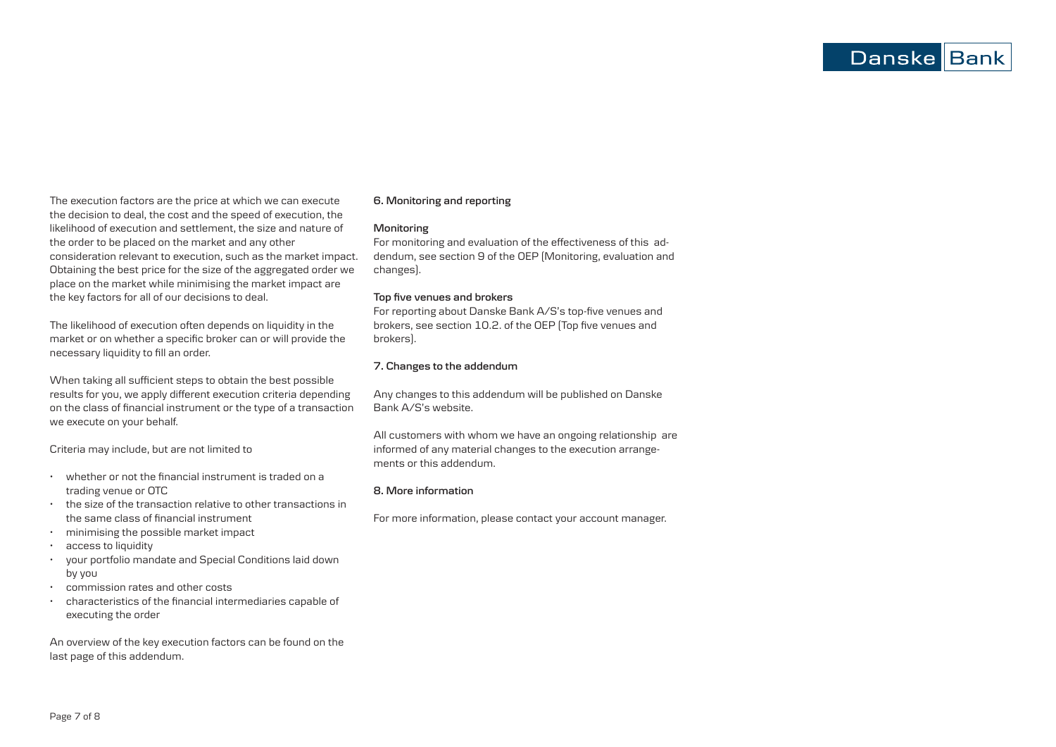The execution factors are the price at which we can execute the decision to deal, the cost and the speed of execution, the likelihood of execution and settlement, the size and nature of the order to be placed on the market and any other consideration relevant to execution, such as the market impact. Obtaining the best price for the size of the aggregated order we place on the market while minimising the market impact are the key factors for all of our decisions to deal.

The likelihood of execution often depends on liquidity in the market or on whether a specific broker can or will provide the necessary liquidity to fill an order.

When taking all sufficient steps to obtain the best possible results for you, we apply different execution criteria depending on the class of financial instrument or the type of a transaction we execute on your behalf.

Criteria may include, but are not limited to

- whether or not the financial instrument is traded on a trading venue or OTC
- the size of the transaction relative to other transactions in the same class of financial instrument
- minimising the possible market impact
- access to liquidity
- your portfolio mandate and Special Conditions laid down by you
- commission rates and other costs
- characteristics of the financial intermediaries capable of executing the order

An overview of the key execution factors can be found on the last page of this addendum.

# **6. Monitoring and reporting**

# **Monitoring**

For monitoring and evaluation of the effectiveness of this addendum, see section 9 of the OEP (Monitoring, evaluation and changes).

#### **Top five venues and brokers**

For reporting about Danske Bank A/S's top-five venues and brokers, see section 10.2. of the OEP (Top five venues and brokers).

# **7. Changes to the addendum**

Any changes to this addendum will be published on Danske Bank A/S's website.

All customers with whom we have an ongoing relationship are informed of any material changes to the execution arrangements or this addendum.

# **8. More information**

For more information, please contact your account manager.